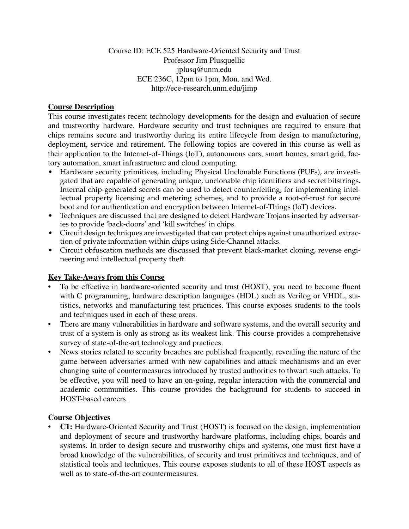### Course ID: ECE 525 Hardware-Oriented Security and Trust Professor Jim Plusquellic jplusq@unm.edu ECE 236C, 12pm to 1pm, Mon. and Wed. http://ece-research.unm.edu/jimp

### **Course Description**

This course investigates recent technology developments for the design and evaluation of secure and trustworthy hardware. Hardware security and trust techniques are required to ensure that chips remains secure and trustworthy during its entire lifecycle from design to manufacturing, deployment, service and retirement. The following topics are covered in this course as well as their application to the Internet-of-Things (IoT), autonomous cars, smart homes, smart grid, factory automation, smart infrastructure and cloud computing.

- Hardware security primitives, including Physical Unclonable Functions (PUFs), are investigated that are capable of generating unique, unclonable chip identifiers and secret bitstrings. Internal chip-generated secrets can be used to detect counterfeiting, for implementing intellectual property licensing and metering schemes, and to provide a root-of-trust for secure boot and for authentication and encryption between Internet-of-Things (IoT) devices.
- Techniques are discussed that are designed to detect Hardware Trojans inserted by adversaries to provide 'back-doors' and 'kill switches' in chips.
- Circuit design techniques are investigated that can protect chips against unauthorized extraction of private information within chips using Side-Channel attacks.
- Circuit obfuscation methods are discussed that prevent black-market cloning, reverse engineering and intellectual property theft.

### **Key Take-Aways from this Course**

- To be effective in hardware-oriented security and trust (HOST), you need to become fluent with C programming, hardware description languages (HDL) such as Verilog or VHDL, statistics, networks and manufacturing test practices. This course exposes students to the tools and techniques used in each of these areas.
- There are many vulnerabilities in hardware and software systems, and the overall security and trust of a system is only as strong as its weakest link. This course provides a comprehensive survey of state-of-the-art technology and practices.
- News stories related to security breaches are published frequently, revealing the nature of the game between adversaries armed with new capabilities and attack mechanisms and an ever changing suite of countermeasures introduced by trusted authorities to thwart such attacks. To be effective, you will need to have an on-going, regular interaction with the commercial and academic communities. This course provides the background for students to succeed in HOST-based careers.

### **Course Objectives**

• **C1:** Hardware-Oriented Security and Trust (HOST) is focused on the design, implementation and deployment of secure and trustworthy hardware platforms, including chips, boards and systems. In order to design secure and trustworthy chips and systems, one must first have a broad knowledge of the vulnerabilities, of security and trust primitives and techniques, and of statistical tools and techniques. This course exposes students to all of these HOST aspects as well as to state-of-the-art countermeasures.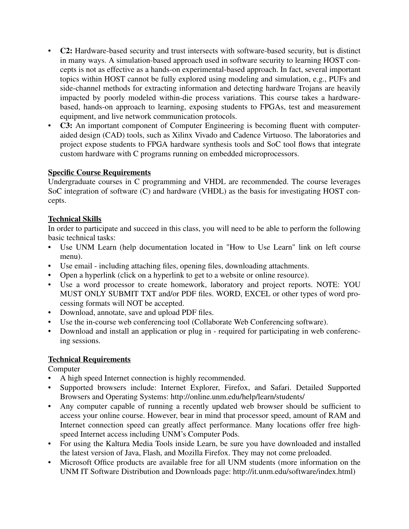- **C2:** Hardware-based security and trust intersects with software-based security, but is distinct in many ways. A simulation-based approach used in software security to learning HOST concepts is not as effective as a hands-on experimental-based approach. In fact, several important topics within HOST cannot be fully explored using modeling and simulation, e.g., PUFs and side-channel methods for extracting information and detecting hardware Trojans are heavily impacted by poorly modeled within-die process variations. This course takes a hardwarebased, hands-on approach to learning, exposing students to FPGAs, test and measurement equipment, and live network communication protocols.
- **C3:** An important component of Computer Engineering is becoming fluent with computeraided design (CAD) tools, such as Xilinx Vivado and Cadence Virtuoso. The laboratories and project expose students to FPGA hardware synthesis tools and SoC tool flows that integrate custom hardware with C programs running on embedded microprocessors.

## **Specific Course Requirements**

Undergraduate courses in C programming and VHDL are recommended. The course leverages SoC integration of software (C) and hardware (VHDL) as the basis for investigating HOST concepts.

### **Technical Skills**

In order to participate and succeed in this class, you will need to be able to perform the following basic technical tasks:

- Use UNM Learn (help documentation located in "How to Use Learn" link on left course menu).
- Use email including attaching files, opening files, downloading attachments.
- Open a hyperlink (click on a hyperlink to get to a website or online resource).
- Use a word processor to create homework, laboratory and project reports. NOTE: YOU MUST ONLY SUBMIT TXT and/or PDF files. WORD, EXCEL or other types of word processing formats will NOT be accepted.
- Download, annotate, save and upload PDF files.
- Use the in-course web conferencing tool (Collaborate Web Conferencing software).
- Download and install an application or plug in required for participating in web conferencing sessions.

### **Technical Requirements**

Computer

- A high speed Internet connection is highly recommended.
- Supported browsers include: Internet Explorer, Firefox, and Safari. Detailed Supported Browsers and Operating Systems: http://online.unm.edu/help/learn/students/
- Any computer capable of running a recently updated web browser should be sufficient to access your online course. However, bear in mind that processor speed, amount of RAM and Internet connection speed can greatly affect performance. Many locations offer free highspeed Internet access including UNM's Computer Pods.
- For using the Kaltura Media Tools inside Learn, be sure you have downloaded and installed the latest version of Java, Flash, and Mozilla Firefox. They may not come preloaded.
- Microsoft Office products are available free for all UNM students (more information on the UNM IT Software Distribution and Downloads page: http://it.unm.edu/software/index.html)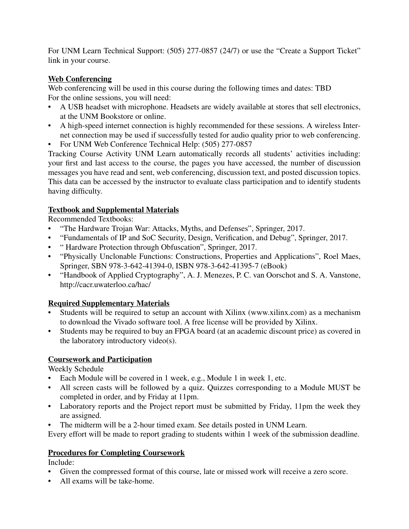For UNM Learn Technical Support: (505) 277-0857 (24/7) or use the "Create a Support Ticket" link in your course.

## **Web Conferencing**

Web conferencing will be used in this course during the following times and dates: TBD For the online sessions, you will need:

- A USB headset with microphone. Headsets are widely available at stores that sell electronics, at the UNM Bookstore or online.
- A high-speed internet connection is highly recommended for these sessions. A wireless Internet connection may be used if successfully tested for audio quality prior to web conferencing.
- For UNM Web Conference Technical Help: (505) 277-0857

Tracking Course Activity UNM Learn automatically records all students' activities including: your first and last access to the course, the pages you have accessed, the number of discussion messages you have read and sent, web conferencing, discussion text, and posted discussion topics. This data can be accessed by the instructor to evaluate class participation and to identify students having difficulty.

### **Textbook and Supplemental Materials**

Recommended Textbooks:

- "The Hardware Trojan War: Attacks, Myths, and Defenses", Springer, 2017.
- "Fundamentals of IP and SoC Security, Design, Verification, and Debug", Springer, 2017.
- " Hardware Protection through Obfuscation", Springer, 2017.
- "Physically Unclonable Functions: Constructions, Properties and Applications", Roel Maes, Springer, SBN 978-3-642-41394-0, ISBN 978-3-642-41395-7 (eBook)
- "Handbook of Applied Cryptography", A. J. Menezes, P. C. van Oorschot and S. A. Vanstone, http://cacr.uwaterloo.ca/hac/

# **Required Supplementary Materials**

- Students will be required to setup an account with Xilinx (www.xilinx.com) as a mechanism to download the Vivado software tool. A free license will be provided by Xilinx.
- Students may be required to buy an FPGA board (at an academic discount price) as covered in the laboratory introductory video(s).

# **Coursework and Participation**

Weekly Schedule

- Each Module will be covered in 1 week, e.g., Module 1 in week 1, etc.
- All screen casts will be followed by a quiz. Quizzes corresponding to a Module MUST be completed in order, and by Friday at 11pm.
- Laboratory reports and the Project report must be submitted by Friday, 11pm the week they are assigned.
- The midterm will be a 2-hour timed exam. See details posted in UNM Learn.

Every effort will be made to report grading to students within 1 week of the submission deadline.

### **Procedures for Completing Coursework**

Include:

- Given the compressed format of this course, late or missed work will receive a zero score.
- All exams will be take-home.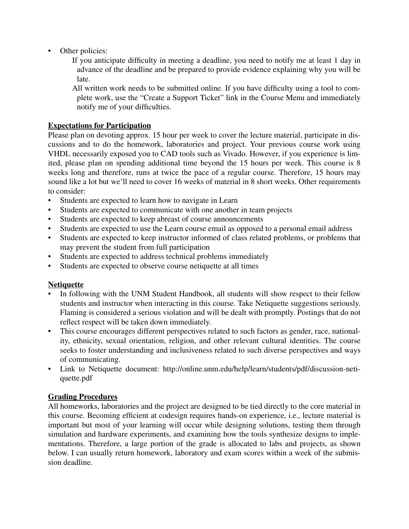- Other policies:
	- If you anticipate difficulty in meeting a deadline, you need to notify me at least 1 day in advance of the deadline and be prepared to provide evidence explaining why you will be late.
	- All written work needs to be submitted online. If you have difficulty using a tool to complete work, use the "Create a Support Ticket" link in the Course Menu and immediately notify me of your difficulties.

### **Expectations for Participation**

Please plan on devoting approx. 15 hour per week to cover the lecture material, participate in discussions and to do the homework, laboratories and project. Your previous course work using VHDL necessarily exposed you to CAD tools such as Vivado. However, if you experience is limited, please plan on spending additional time beyond the 15 hours per week. This course is 8 weeks long and therefore, runs at twice the pace of a regular course. Therefore, 15 hours may sound like a lot but we'll need to cover 16 weeks of material in 8 short weeks. Other requirements to consider:

- Students are expected to learn how to navigate in Learn
- Students are expected to communicate with one another in team projects
- Students are expected to keep abreast of course announcements
- Students are expected to use the Learn course email as opposed to a personal email address
- Students are expected to keep instructor informed of class related problems, or problems that may prevent the student from full participation
- Students are expected to address technical problems immediately
- Students are expected to observe course netiquette at all times

# **Netiquette**

- In following with the UNM Student Handbook, all students will show respect to their fellow students and instructor when interacting in this course. Take Netiquette suggestions seriously. Flaming is considered a serious violation and will be dealt with promptly. Postings that do not reflect respect will be taken down immediately.
- This course encourages different perspectives related to such factors as gender, race, nationality, ethnicity, sexual orientation, religion, and other relevant cultural identities. The course seeks to foster understanding and inclusiveness related to such diverse perspectives and ways of communicating.
- Link to Netiquette document: http://online.unm.edu/help/learn/students/pdf/discussion-netiquette.pdf

### **Grading Procedures**

All homeworks, laboratories and the project are designed to be tied directly to the core material in this course. Becoming efficient at codesign requires hands-on experience, i.e., lecture material is important but most of your learning will occur while designing solutions, testing them through simulation and hardware experiments, and examining how the tools synthesize designs to implementations. Therefore, a large portion of the grade is allocated to labs and projects, as shown below. I can usually return homework, laboratory and exam scores within a week of the submission deadline.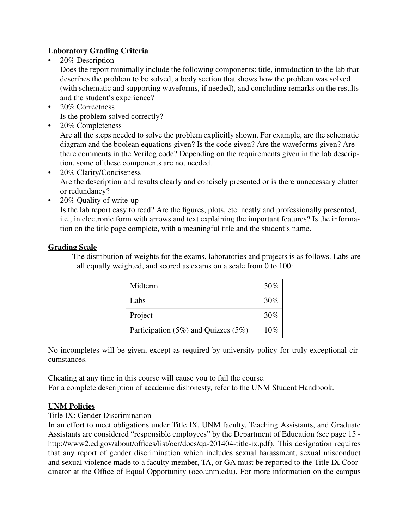## **Laboratory Grading Criteria**

• 20% Description

Does the report minimally include the following components: title, introduction to the lab that describes the problem to be solved, a body section that shows how the problem was solved (with schematic and supporting waveforms, if needed), and concluding remarks on the results and the student's experience?

- 20% Correctness Is the problem solved correctly?
- 20% Completeness

Are all the steps needed to solve the problem explicitly shown. For example, are the schematic diagram and the boolean equations given? Is the code given? Are the waveforms given? Are there comments in the Verilog code? Depending on the requirements given in the lab description, some of these components are not needed.

- 20% Clarity/Conciseness Are the description and results clearly and concisely presented or is there unnecessary clutter or redundancy?
- 20% Quality of write-up

Is the lab report easy to read? Are the figures, plots, etc. neatly and professionally presented, i.e., in electronic form with arrows and text explaining the important features? Is the information on the title page complete, with a meaningful title and the student's name.

### **Grading Scale**

The distribution of weights for the exams, laboratories and projects is as follows. Labs are all equally weighted, and scored as exams on a scale from 0 to 100:

| Midterm                                   | 30% |
|-------------------------------------------|-----|
| Labs                                      | 30% |
| Project                                   | 30% |
| Participation $(5\%)$ and Quizzes $(5\%)$ | 10% |

No incompletes will be given, except as required by university policy for truly exceptional circumstances.

Cheating at any time in this course will cause you to fail the course. For a complete description of academic dishonesty, refer to the UNM Student Handbook.

### **UNM Policies**

#### Title IX: Gender Discrimination

In an effort to meet obligations under Title IX, UNM faculty, Teaching Assistants, and Graduate Assistants are considered "responsible employees" by the Department of Education (see page 15 http://www2.ed.gov/about/offices/list/ocr/docs/qa-201404-title-ix.pdf). This designation requires that any report of gender discrimination which includes sexual harassment, sexual misconduct and sexual violence made to a faculty member, TA, or GA must be reported to the Title IX Coordinator at the Office of Equal Opportunity (oeo.unm.edu). For more information on the campus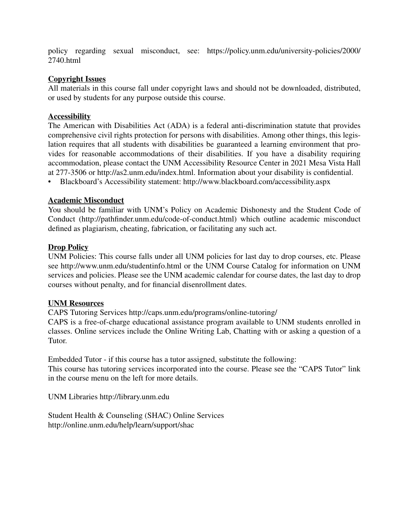policy regarding sexual misconduct, see: https://policy.unm.edu/university-policies/2000/ 2740.html

### **Copyright Issues**

All materials in this course fall under copyright laws and should not be downloaded, distributed, or used by students for any purpose outside this course.

### **Accessibility**

The American with Disabilities Act (ADA) is a federal anti-discrimination statute that provides comprehensive civil rights protection for persons with disabilities. Among other things, this legislation requires that all students with disabilities be guaranteed a learning environment that provides for reasonable accommodations of their disabilities. If you have a disability requiring accommodation, please contact the UNM Accessibility Resource Center in 2021 Mesa Vista Hall at 277-3506 or http://as2.unm.edu/index.html. Information about your disability is confidential.

• Blackboard's Accessibility statement: http://www.blackboard.com/accessibility.aspx

### **Academic Misconduct**

You should be familiar with UNM's Policy on Academic Dishonesty and the Student Code of Conduct (http://pathfinder.unm.edu/code-of-conduct.html) which outline academic misconduct defined as plagiarism, cheating, fabrication, or facilitating any such act.

#### **Drop Policy**

UNM Policies: This course falls under all UNM policies for last day to drop courses, etc. Please see http://www.unm.edu/studentinfo.html or the UNM Course Catalog for information on UNM services and policies. Please see the UNM academic calendar for course dates, the last day to drop courses without penalty, and for financial disenrollment dates.

#### **UNM Resources**

CAPS Tutoring Services http://caps.unm.edu/programs/online-tutoring/

CAPS is a free-of-charge educational assistance program available to UNM students enrolled in classes. Online services include the Online Writing Lab, Chatting with or asking a question of a Tutor.

Embedded Tutor - if this course has a tutor assigned, substitute the following: This course has tutoring services incorporated into the course. Please see the "CAPS Tutor" link in the course menu on the left for more details.

UNM Libraries http://library.unm.edu

Student Health & Counseling (SHAC) Online Services http://online.unm.edu/help/learn/support/shac